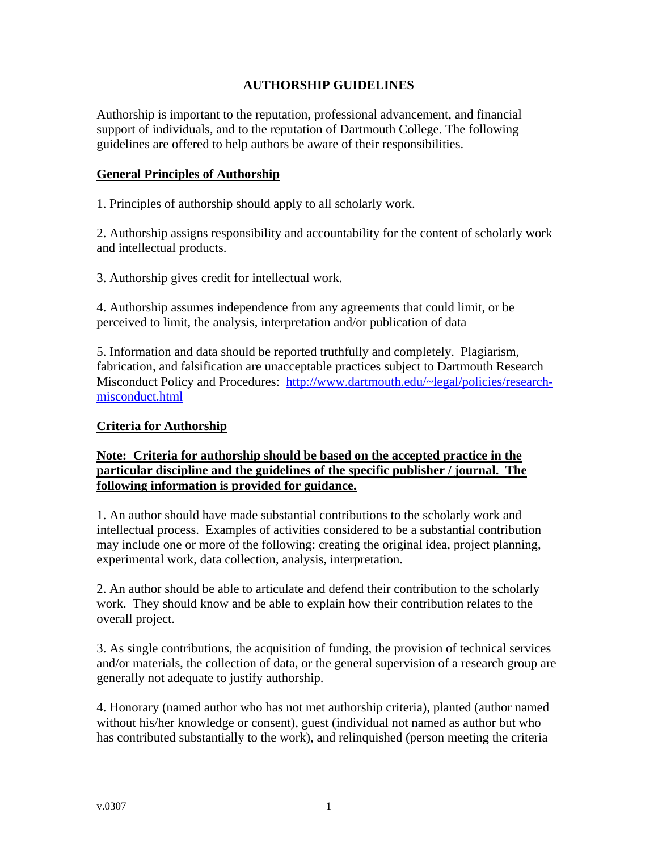# **AUTHORSHIP GUIDELINES**

Authorship is important to the reputation, professional advancement, and financial support of individuals, and to the reputation of Dartmouth College. The following guidelines are offered to help authors be aware of their responsibilities.

### **General Principles of Authorship**

1. Principles of authorship should apply to all scholarly work.

2. Authorship assigns responsibility and accountability for the content of scholarly work and intellectual products.

3. Authorship gives credit for intellectual work.

4. Authorship assumes independence from any agreements that could limit, or be perceived to limit, the analysis, interpretation and/or publication of data

5. Information and data should be reported truthfully and completely. Plagiarism, fabrication, and falsification are unacceptable practices subject to Dartmouth Research Misconduct Policy and Procedures: [http://www.dartmouth.edu/~legal/policies/research](http://www.dartmouth.edu/%7Elegal/policies/research-misconduct.html)[misconduct.html](http://www.dartmouth.edu/%7Elegal/policies/research-misconduct.html)

### **Criteria for Authorship**

## **Note: Criteria for authorship should be based on the accepted practice in the particular discipline and the guidelines of the specific publisher / journal. The following information is provided for guidance.**

1. An author should have made substantial contributions to the scholarly work and intellectual process. Examples of activities considered to be a substantial contribution may include one or more of the following: creating the original idea, project planning, experimental work, data collection, analysis, interpretation.

2. An author should be able to articulate and defend their contribution to the scholarly work. They should know and be able to explain how their contribution relates to the overall project.

3. As single contributions, the acquisition of funding, the provision of technical services and/or materials, the collection of data, or the general supervision of a research group are generally not adequate to justify authorship.

4. Honorary (named author who has not met authorship criteria), planted (author named without his/her knowledge or consent), guest (individual not named as author but who has contributed substantially to the work), and relinquished (person meeting the criteria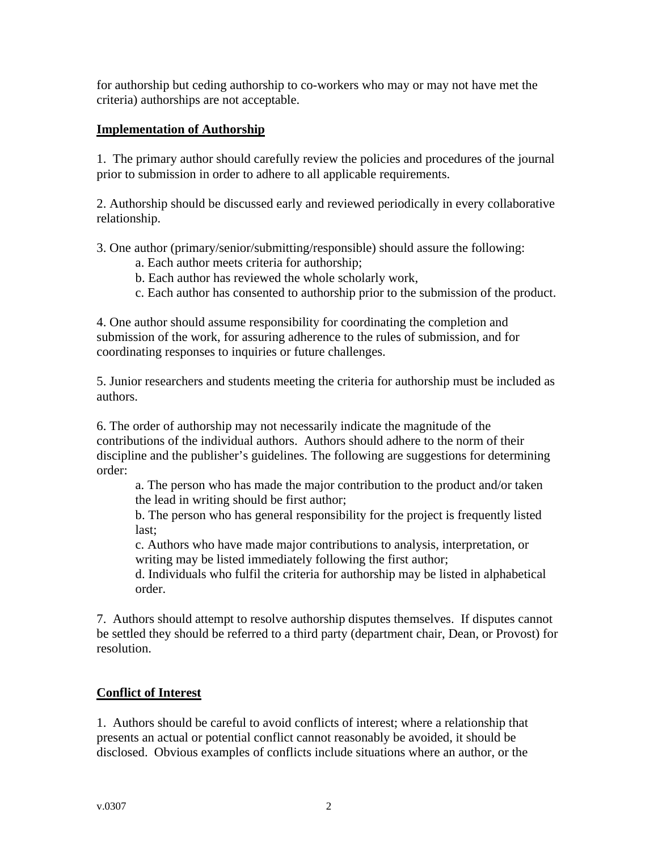for authorship but ceding authorship to co-workers who may or may not have met the criteria) authorships are not acceptable.

## **Implementation of Authorship**

1. The primary author should carefully review the policies and procedures of the journal prior to submission in order to adhere to all applicable requirements.

2. Authorship should be discussed early and reviewed periodically in every collaborative relationship.

3. One author (primary/senior/submitting/responsible) should assure the following:

- a. Each author meets criteria for authorship;
- b. Each author has reviewed the whole scholarly work,
- c. Each author has consented to authorship prior to the submission of the product.

4. One author should assume responsibility for coordinating the completion and submission of the work, for assuring adherence to the rules of submission, and for coordinating responses to inquiries or future challenges.

5. Junior researchers and students meeting the criteria for authorship must be included as authors.

6. The order of authorship may not necessarily indicate the magnitude of the contributions of the individual authors. Authors should adhere to the norm of their discipline and the publisher's guidelines. The following are suggestions for determining order:

a. The person who has made the major contribution to the product and/or taken the lead in writing should be first author;

b. The person who has general responsibility for the project is frequently listed last;

c. Authors who have made major contributions to analysis, interpretation, or writing may be listed immediately following the first author;

d. Individuals who fulfil the criteria for authorship may be listed in alphabetical order.

7. Authors should attempt to resolve authorship disputes themselves. If disputes cannot be settled they should be referred to a third party (department chair, Dean, or Provost) for resolution.

# **Conflict of Interest**

1. Authors should be careful to avoid conflicts of interest; where a relationship that presents an actual or potential conflict cannot reasonably be avoided, it should be disclosed. Obvious examples of conflicts include situations where an author, or the